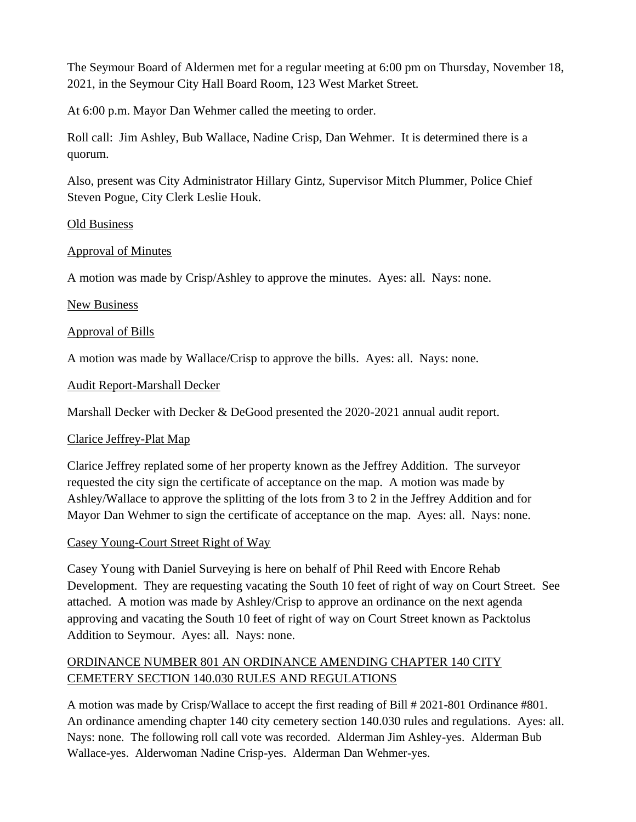The Seymour Board of Aldermen met for a regular meeting at 6:00 pm on Thursday, November 18, 2021, in the Seymour City Hall Board Room, 123 West Market Street.

At 6:00 p.m. Mayor Dan Wehmer called the meeting to order.

Roll call: Jim Ashley, Bub Wallace, Nadine Crisp, Dan Wehmer. It is determined there is a quorum.

Also, present was City Administrator Hillary Gintz, Supervisor Mitch Plummer, Police Chief Steven Pogue, City Clerk Leslie Houk.

# Old Business

# Approval of Minutes

A motion was made by Crisp/Ashley to approve the minutes. Ayes: all. Nays: none.

# New Business

# Approval of Bills

A motion was made by Wallace/Crisp to approve the bills. Ayes: all. Nays: none.

# Audit Report-Marshall Decker

Marshall Decker with Decker & DeGood presented the 2020-2021 annual audit report.

# Clarice Jeffrey-Plat Map

Clarice Jeffrey replated some of her property known as the Jeffrey Addition. The surveyor requested the city sign the certificate of acceptance on the map. A motion was made by Ashley/Wallace to approve the splitting of the lots from 3 to 2 in the Jeffrey Addition and for Mayor Dan Wehmer to sign the certificate of acceptance on the map. Ayes: all. Nays: none.

# Casey Young-Court Street Right of Way

Casey Young with Daniel Surveying is here on behalf of Phil Reed with Encore Rehab Development. They are requesting vacating the South 10 feet of right of way on Court Street. See attached. A motion was made by Ashley/Crisp to approve an ordinance on the next agenda approving and vacating the South 10 feet of right of way on Court Street known as Packtolus Addition to Seymour. Ayes: all. Nays: none.

# ORDINANCE NUMBER 801 AN ORDINANCE AMENDING CHAPTER 140 CITY CEMETERY SECTION 140.030 RULES AND REGULATIONS

A motion was made by Crisp/Wallace to accept the first reading of Bill # 2021-801 Ordinance #801. An ordinance amending chapter 140 city cemetery section 140.030 rules and regulations. Ayes: all. Nays: none. The following roll call vote was recorded. Alderman Jim Ashley-yes. Alderman Bub Wallace-yes. Alderwoman Nadine Crisp-yes. Alderman Dan Wehmer-yes.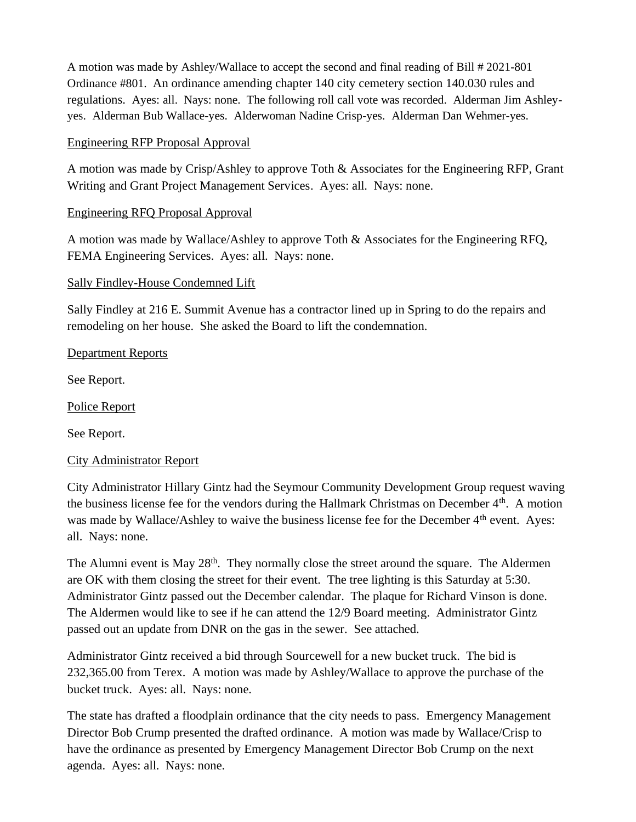A motion was made by Ashley/Wallace to accept the second and final reading of Bill # 2021-801 Ordinance #801. An ordinance amending chapter 140 city cemetery section 140.030 rules and regulations. Ayes: all. Nays: none. The following roll call vote was recorded. Alderman Jim Ashleyyes. Alderman Bub Wallace-yes. Alderwoman Nadine Crisp-yes. Alderman Dan Wehmer-yes.

### Engineering RFP Proposal Approval

A motion was made by Crisp/Ashley to approve Toth & Associates for the Engineering RFP, Grant Writing and Grant Project Management Services. Ayes: all. Nays: none.

# Engineering RFQ Proposal Approval

A motion was made by Wallace/Ashley to approve Toth & Associates for the Engineering RFQ, FEMA Engineering Services. Ayes: all. Nays: none.

#### Sally Findley-House Condemned Lift

Sally Findley at 216 E. Summit Avenue has a contractor lined up in Spring to do the repairs and remodeling on her house. She asked the Board to lift the condemnation.

#### Department Reports

See Report.

Police Report

See Report.

# City Administrator Report

City Administrator Hillary Gintz had the Seymour Community Development Group request waving the business license fee for the vendors during the Hallmark Christmas on December 4<sup>th</sup>. A motion was made by Wallace/Ashley to waive the business license fee for the December 4<sup>th</sup> event. Ayes: all. Nays: none.

The Alumni event is May 28<sup>th</sup>. They normally close the street around the square. The Aldermen are OK with them closing the street for their event. The tree lighting is this Saturday at 5:30. Administrator Gintz passed out the December calendar. The plaque for Richard Vinson is done. The Aldermen would like to see if he can attend the 12/9 Board meeting. Administrator Gintz passed out an update from DNR on the gas in the sewer. See attached.

Administrator Gintz received a bid through Sourcewell for a new bucket truck. The bid is 232,365.00 from Terex. A motion was made by Ashley/Wallace to approve the purchase of the bucket truck. Ayes: all. Nays: none.

The state has drafted a floodplain ordinance that the city needs to pass. Emergency Management Director Bob Crump presented the drafted ordinance. A motion was made by Wallace/Crisp to have the ordinance as presented by Emergency Management Director Bob Crump on the next agenda. Ayes: all. Nays: none.